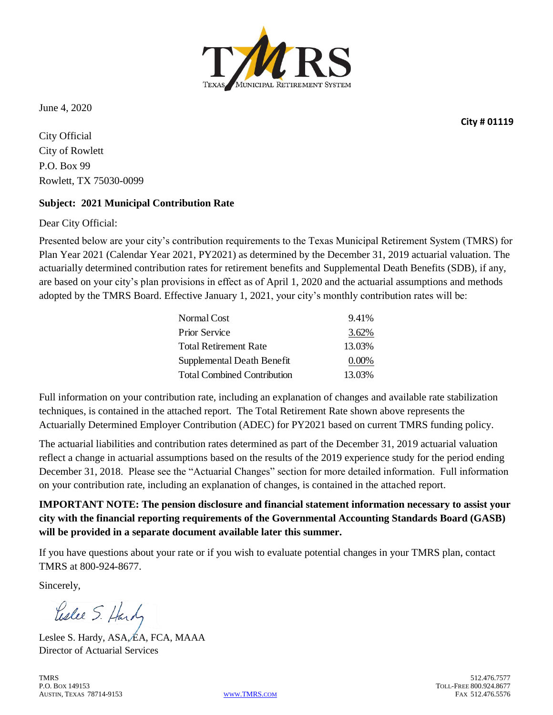

June 4, 2020

City Official City of Rowlett P.O. Box 99 Rowlett, TX 75030-0099

#### **Subject: 2021 Municipal Contribution Rate**

Dear City Official:

Presented below are your city's contribution requirements to the Texas Municipal Retirement System (TMRS) for Plan Year 2021 (Calendar Year 2021, PY2021) as determined by the December 31, 2019 actuarial valuation. The actuarially determined contribution rates for retirement benefits and Supplemental Death Benefits (SDB), if any, are based on your city's plan provisions in effect as of April 1, 2020 and the actuarial assumptions and methods adopted by the TMRS Board. Effective January 1, 2021, your city's monthly contribution rates will be:

| Normal Cost                        | 9.41%    |
|------------------------------------|----------|
| <b>Prior Service</b>               | 3.62%    |
| <b>Total Retirement Rate</b>       | 13.03%   |
| Supplemental Death Benefit         | $0.00\%$ |
| <b>Total Combined Contribution</b> | 13.03%   |

Full information on your contribution rate, including an explanation of changes and available rate stabilization techniques, is contained in the attached report. The Total Retirement Rate shown above represents the Actuarially Determined Employer Contribution (ADEC) for PY2021 based on current TMRS funding policy.

The actuarial liabilities and contribution rates determined as part of the December 31, 2019 actuarial valuation reflect a change in actuarial assumptions based on the results of the 2019 experience study for the period ending December 31, 2018. Please see the "Actuarial Changes" section for more detailed information. Full information on your contribution rate, including an explanation of changes, is contained in the attached report.

**IMPORTANT NOTE: The pension disclosure and financial statement information necessary to assist your city with the financial reporting requirements of the Governmental Accounting Standards Board (GASB) will be provided in a separate document available later this summer.**

If you have questions about your rate or if you wish to evaluate potential changes in your TMRS plan, contact TMRS at 800-924-8677.

Sincerely,

Leslee S. Hardy

Leslee S. Hardy, ASA, EA, FCA, MAAA Director of Actuarial Services

TMRS 512.476.7577 P.O. Box 149153 TOLL-FREE 800.924.8677<br>Austin. Texas 78714-9153 November 2008 Www.TMRS.com Texas 78714-9153 AUSTIN, TEXAS 78714-9153

**City # 01119**

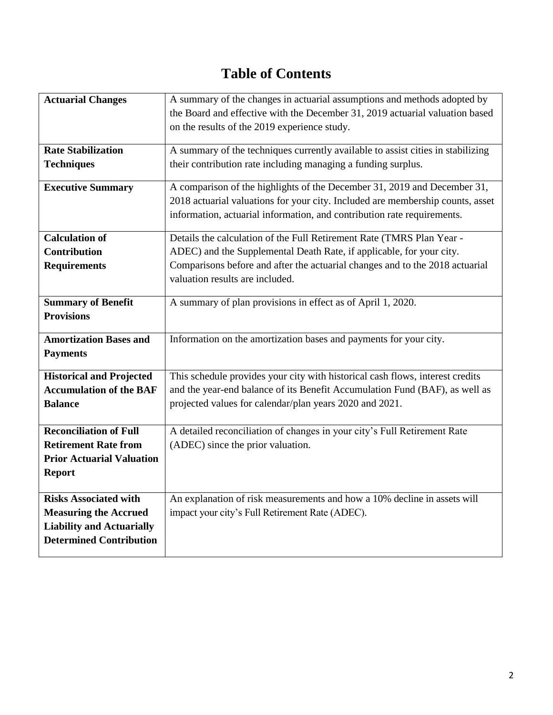# **Table of Contents**

| <b>Actuarial Changes</b>         | A summary of the changes in actuarial assumptions and methods adopted by        |
|----------------------------------|---------------------------------------------------------------------------------|
|                                  | the Board and effective with the December 31, 2019 actuarial valuation based    |
|                                  | on the results of the 2019 experience study.                                    |
|                                  |                                                                                 |
| <b>Rate Stabilization</b>        | A summary of the techniques currently available to assist cities in stabilizing |
| <b>Techniques</b>                | their contribution rate including managing a funding surplus.                   |
| <b>Executive Summary</b>         | A comparison of the highlights of the December 31, 2019 and December 31,        |
|                                  | 2018 actuarial valuations for your city. Included are membership counts, asset  |
|                                  | information, actuarial information, and contribution rate requirements.         |
| <b>Calculation of</b>            | Details the calculation of the Full Retirement Rate (TMRS Plan Year -           |
| <b>Contribution</b>              | ADEC) and the Supplemental Death Rate, if applicable, for your city.            |
| <b>Requirements</b>              | Comparisons before and after the actuarial changes and to the 2018 actuarial    |
|                                  | valuation results are included.                                                 |
|                                  |                                                                                 |
| <b>Summary of Benefit</b>        | A summary of plan provisions in effect as of April 1, 2020.                     |
| <b>Provisions</b>                |                                                                                 |
| <b>Amortization Bases and</b>    | Information on the amortization bases and payments for your city.               |
| <b>Payments</b>                  |                                                                                 |
| <b>Historical and Projected</b>  | This schedule provides your city with historical cash flows, interest credits   |
| <b>Accumulation of the BAF</b>   | and the year-end balance of its Benefit Accumulation Fund (BAF), as well as     |
| <b>Balance</b>                   | projected values for calendar/plan years 2020 and 2021.                         |
|                                  |                                                                                 |
| <b>Reconciliation of Full</b>    | A detailed reconciliation of changes in your city's Full Retirement Rate        |
| <b>Retirement Rate from</b>      | (ADEC) since the prior valuation.                                               |
| <b>Prior Actuarial Valuation</b> |                                                                                 |
| <b>Report</b>                    |                                                                                 |
|                                  |                                                                                 |
| <b>Risks Associated with</b>     | An explanation of risk measurements and how a 10% decline in assets will        |
| <b>Measuring the Accrued</b>     | impact your city's Full Retirement Rate (ADEC).                                 |
| <b>Liability and Actuarially</b> |                                                                                 |
| <b>Determined Contribution</b>   |                                                                                 |
|                                  |                                                                                 |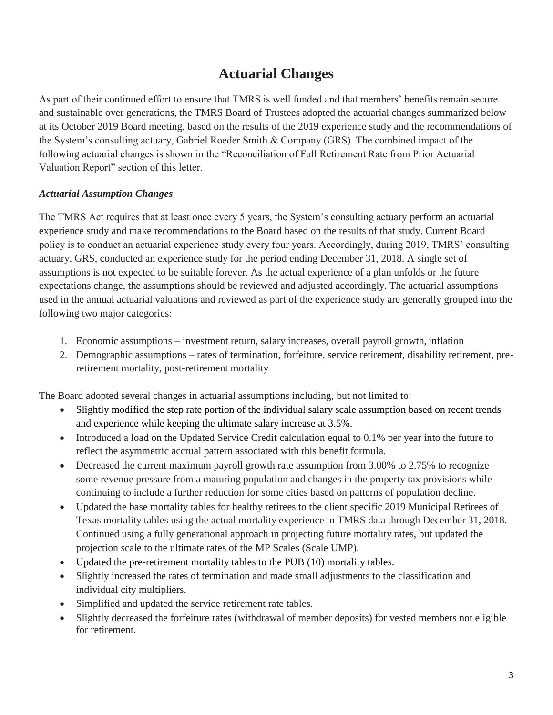### **Actuarial Changes**

As part of their continued effort to ensure that TMRS is well funded and that members' benefits remain secure and sustainable over generations, the TMRS Board of Trustees adopted the actuarial changes summarized below at its October 2019 Board meeting, based on the results of the 2019 experience study and the recommendations of the System's consulting actuary, Gabriel Roeder Smith & Company (GRS). The combined impact of the following actuarial changes is shown in the "Reconciliation of Full Retirement Rate from Prior Actuarial Valuation Report" section of this letter.

### *Actuarial Assumption Changes*

The TMRS Act requires that at least once every 5 years, the System's consulting actuary perform an actuarial experience study and make recommendations to the Board based on the results of that study. Current Board policy is to conduct an actuarial experience study every four years. Accordingly, during 2019, TMRS' consulting actuary, GRS, conducted an experience study for the period ending December 31, 2018. A single set of assumptions is not expected to be suitable forever. As the actual experience of a plan unfolds or the future expectations change, the assumptions should be reviewed and adjusted accordingly. The actuarial assumptions used in the annual actuarial valuations and reviewed as part of the experience study are generally grouped into the following two major categories:

- 1. Economic assumptions investment return, salary increases, overall payroll growth, inflation
- 2. Demographic assumptions rates of termination, forfeiture, service retirement, disability retirement, preretirement mortality, post-retirement mortality

The Board adopted several changes in actuarial assumptions including, but not limited to:

- Slightly modified the step rate portion of the individual salary scale assumption based on recent trends and experience while keeping the ultimate salary increase at 3.5%.
- Introduced a load on the Updated Service Credit calculation equal to 0.1% per year into the future to reflect the asymmetric accrual pattern associated with this benefit formula.
- Decreased the current maximum payroll growth rate assumption from 3.00% to 2.75% to recognize some revenue pressure from a maturing population and changes in the property tax provisions while continuing to include a further reduction for some cities based on patterns of population decline.
- Updated the base mortality tables for healthy retirees to the client specific 2019 Municipal Retirees of Texas mortality tables using the actual mortality experience in TMRS data through December 31, 2018. Continued using a fully generational approach in projecting future mortality rates, but updated the projection scale to the ultimate rates of the MP Scales (Scale UMP).
- Updated the pre-retirement mortality tables to the PUB (10) mortality tables.
- Slightly increased the rates of termination and made small adjustments to the classification and individual city multipliers.
- Simplified and updated the service retirement rate tables.
- Slightly decreased the forfeiture rates (withdrawal of member deposits) for vested members not eligible for retirement.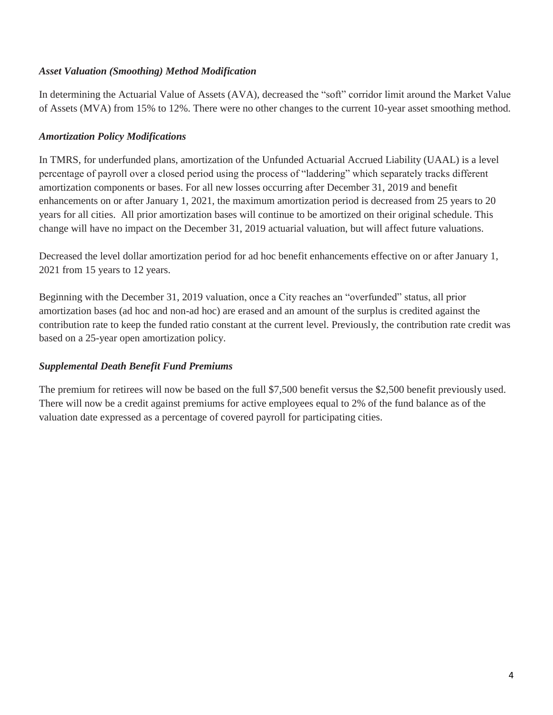#### *Asset Valuation (Smoothing) Method Modification*

In determining the Actuarial Value of Assets (AVA), decreased the "soft" corridor limit around the Market Value of Assets (MVA) from 15% to 12%. There were no other changes to the current 10-year asset smoothing method.

#### *Amortization Policy Modifications*

In TMRS, for underfunded plans, amortization of the Unfunded Actuarial Accrued Liability (UAAL) is a level percentage of payroll over a closed period using the process of "laddering" which separately tracks different amortization components or bases. For all new losses occurring after December 31, 2019 and benefit enhancements on or after January 1, 2021, the maximum amortization period is decreased from 25 years to 20 years for all cities. All prior amortization bases will continue to be amortized on their original schedule. This change will have no impact on the December 31, 2019 actuarial valuation, but will affect future valuations.

Decreased the level dollar amortization period for ad hoc benefit enhancements effective on or after January 1, 2021 from 15 years to 12 years.

Beginning with the December 31, 2019 valuation, once a City reaches an "overfunded" status, all prior amortization bases (ad hoc and non-ad hoc) are erased and an amount of the surplus is credited against the contribution rate to keep the funded ratio constant at the current level. Previously, the contribution rate credit was based on a 25-year open amortization policy.

### *Supplemental Death Benefit Fund Premiums*

The premium for retirees will now be based on the full \$7,500 benefit versus the \$2,500 benefit previously used. There will now be a credit against premiums for active employees equal to 2% of the fund balance as of the valuation date expressed as a percentage of covered payroll for participating cities.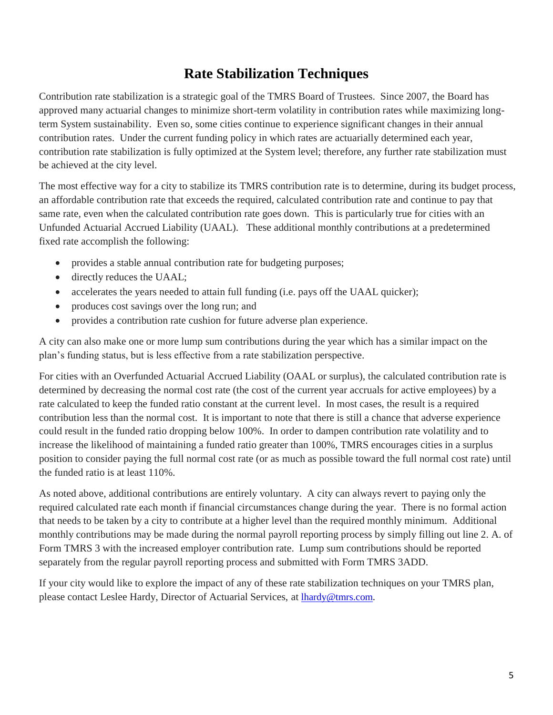### **Rate Stabilization Techniques**

Contribution rate stabilization is a strategic goal of the TMRS Board of Trustees. Since 2007, the Board has approved many actuarial changes to minimize short-term volatility in contribution rates while maximizing longterm System sustainability. Even so, some cities continue to experience significant changes in their annual contribution rates. Under the current funding policy in which rates are actuarially determined each year, contribution rate stabilization is fully optimized at the System level; therefore, any further rate stabilization must be achieved at the city level.

The most effective way for a city to stabilize its TMRS contribution rate is to determine, during its budget process, an affordable contribution rate that exceeds the required, calculated contribution rate and continue to pay that same rate, even when the calculated contribution rate goes down. This is particularly true for cities with an Unfunded Actuarial Accrued Liability (UAAL). These additional monthly contributions at a predetermined fixed rate accomplish the following:

- provides a stable annual contribution rate for budgeting purposes;
- directly reduces the UAAL;
- accelerates the years needed to attain full funding (i.e. pays off the UAAL quicker);
- produces cost savings over the long run; and
- provides a contribution rate cushion for future adverse plan experience.

A city can also make one or more lump sum contributions during the year which has a similar impact on the plan's funding status, but is less effective from a rate stabilization perspective.

For cities with an Overfunded Actuarial Accrued Liability (OAAL or surplus), the calculated contribution rate is determined by decreasing the normal cost rate (the cost of the current year accruals for active employees) by a rate calculated to keep the funded ratio constant at the current level. In most cases, the result is a required contribution less than the normal cost. It is important to note that there is still a chance that adverse experience could result in the funded ratio dropping below 100%. In order to dampen contribution rate volatility and to increase the likelihood of maintaining a funded ratio greater than 100%, TMRS encourages cities in a surplus position to consider paying the full normal cost rate (or as much as possible toward the full normal cost rate) until the funded ratio is at least 110%.

As noted above, additional contributions are entirely voluntary. A city can always revert to paying only the required calculated rate each month if financial circumstances change during the year. There is no formal action that needs to be taken by a city to contribute at a higher level than the required monthly minimum. Additional monthly contributions may be made during the normal payroll reporting process by simply filling out line 2. A. of Form TMRS 3 with the increased employer contribution rate. Lump sum contributions should be reported separately from the regular payroll reporting process and submitted with Form TMRS 3ADD.

If your city would like to explore the impact of any of these rate stabilization techniques on your TMRS plan, please contact Leslee Hardy, Director of Actuarial Services, at lhardy@tmrs.com.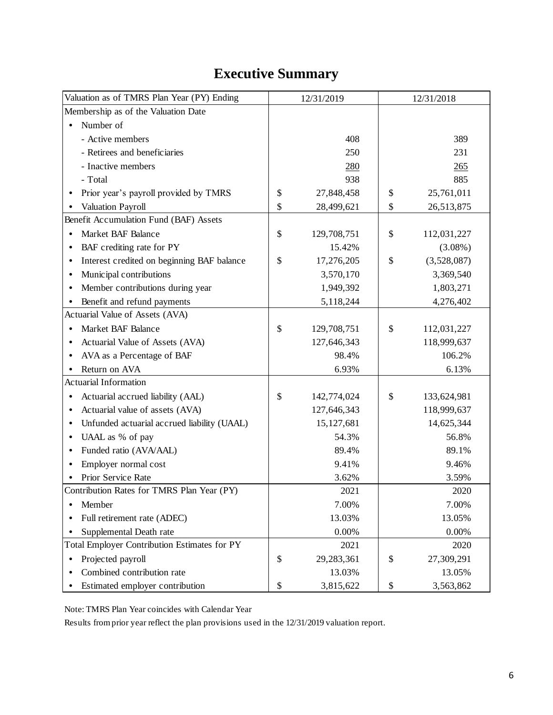# **Executive Summary**

| Valuation as of TMRS Plan Year (PY) Ending     | 12/31/2019        | 12/31/2018 |             |  |  |
|------------------------------------------------|-------------------|------------|-------------|--|--|
| Membership as of the Valuation Date            |                   |            |             |  |  |
| Number of                                      |                   |            |             |  |  |
| - Active members                               | 408               |            | 389         |  |  |
| - Retirees and beneficiaries                   | 250               |            | 231         |  |  |
| - Inactive members                             | 280               |            | 265         |  |  |
| - Total                                        | 938               |            | 885         |  |  |
| Prior year's payroll provided by TMRS          | \$<br>27,848,458  | \$         | 25,761,011  |  |  |
| Valuation Payroll                              | \$<br>28,499,621  | \$         | 26,513,875  |  |  |
| Benefit Accumulation Fund (BAF) Assets         |                   |            |             |  |  |
| Market BAF Balance                             | \$<br>129,708,751 | \$         | 112,031,227 |  |  |
| BAF crediting rate for PY                      | 15.42%            |            | $(3.08\%)$  |  |  |
| Interest credited on beginning BAF balance     | \$<br>17,276,205  | \$         | (3,528,087) |  |  |
| Municipal contributions                        | 3,570,170         |            | 3,369,540   |  |  |
| Member contributions during year               | 1,949,392         |            | 1,803,271   |  |  |
| Benefit and refund payments                    | 5,118,244         |            | 4,276,402   |  |  |
| Actuarial Value of Assets (AVA)                |                   |            |             |  |  |
| Market BAF Balance                             | \$<br>129,708,751 | \$         | 112,031,227 |  |  |
| Actuarial Value of Assets (AVA)                | 127,646,343       |            | 118,999,637 |  |  |
| AVA as a Percentage of BAF                     | 98.4%             |            | 106.2%      |  |  |
| Return on AVA                                  | 6.93%             |            | 6.13%       |  |  |
| <b>Actuarial Information</b>                   |                   |            |             |  |  |
| Actuarial accrued liability (AAL)<br>$\bullet$ | \$<br>142,774,024 | \$         | 133,624,981 |  |  |
| Actuarial value of assets (AVA)                | 127,646,343       |            | 118,999,637 |  |  |
| Unfunded actuarial accrued liability (UAAL)    | 15, 127, 681      |            | 14,625,344  |  |  |
| UAAL as % of pay<br>$\bullet$                  | 54.3%             |            | 56.8%       |  |  |
| Funded ratio (AVA/AAL)                         | 89.4%             |            | 89.1%       |  |  |
| Employer normal cost                           | 9.41%             |            | 9.46%       |  |  |
| Prior Service Rate                             | 3.62%             |            | 3.59%       |  |  |
| Contribution Rates for TMRS Plan Year (PY)     | 2021              |            | 2020        |  |  |
| Member                                         | 7.00%             |            | 7.00%       |  |  |
| Full retirement rate (ADEC)                    | 13.03%            |            | 13.05%      |  |  |
| Supplemental Death rate                        | 0.00%             |            | 0.00%       |  |  |
| Total Employer Contribution Estimates for PY   | 2021              |            | 2020        |  |  |
| Projected payroll                              | \$<br>29,283,361  | \$         | 27,309,291  |  |  |
| Combined contribution rate                     | 13.03%            |            | 13.05%      |  |  |
| Estimated employer contribution                | \$<br>3,815,622   | \$         | 3,563,862   |  |  |

Note: TMRS Plan Year coincides with Calendar Year

Results from prior year reflect the plan provisions used in the 12/31/2019 valuation report.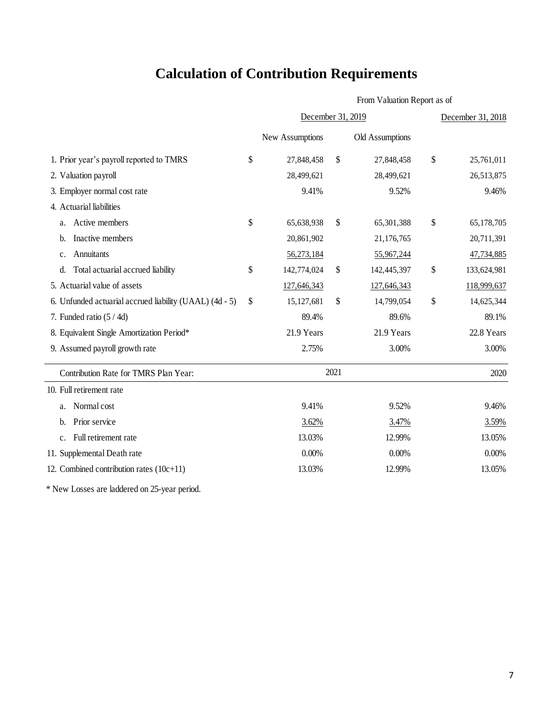# **Calculation of Contribution Requirements**

|                                                         | From Valuation Report as of |                   |                 |              |             |  |  |
|---------------------------------------------------------|-----------------------------|-------------------|-----------------|--------------|-------------|--|--|
|                                                         |                             | December 31, 2019 |                 |              |             |  |  |
|                                                         | New Assumptions             |                   | Old Assumptions |              |             |  |  |
| 1. Prior year's payroll reported to TMRS                | \$<br>27,848,458            | \$                | 27,848,458      | \$           | 25,761,011  |  |  |
| 2. Valuation payroll                                    | 28,499,621                  |                   | 28,499,621      |              | 26,513,875  |  |  |
| 3. Employer normal cost rate                            | 9.41%                       |                   | 9.52%           |              | 9.46%       |  |  |
| 4. Actuarial liabilities                                |                             |                   |                 |              |             |  |  |
| Active members<br>a.                                    | \$<br>65,638,938            | \$                | 65,301,388      | $\mathbb{S}$ | 65,178,705  |  |  |
| Inactive members<br>b.                                  | 20,861,902                  |                   | 21,176,765      |              | 20,711,391  |  |  |
| Annuitants<br>$\mathbf{c}$ .                            | 56,273,184                  |                   | 55,967,244      |              | 47,734,885  |  |  |
| Total actuarial accrued liability<br>d.                 | \$<br>142,774,024           | \$                | 142,445,397     | \$           | 133,624,981 |  |  |
| 5. Actuarial value of assets                            | 127,646,343                 |                   | 127,646,343     |              | 118,999,637 |  |  |
| 6. Unfunded actuarial accrued liability (UAAL) (4d - 5) | \$<br>15,127,681            | \$                | 14,799,054      | \$           | 14,625,344  |  |  |
| 7. Funded ratio $(5/4d)$                                | 89.4%                       |                   | 89.6%           |              | 89.1%       |  |  |
| 8. Equivalent Single Amortization Period*               | 21.9 Years                  |                   | 21.9 Years      |              | 22.8 Years  |  |  |
| 9. Assumed payroll growth rate                          | 2.75%                       |                   | 3.00%           |              | 3.00%       |  |  |
| Contribution Rate for TMRS Plan Year:                   |                             | 2021              |                 |              | 2020        |  |  |
| 10. Full retirement rate                                |                             |                   |                 |              |             |  |  |
| Normal cost<br>a.                                       | 9.41%                       |                   | 9.52%           |              | 9.46%       |  |  |
| Prior service<br>b.                                     | 3.62%                       |                   | 3.47%           |              | 3.59%       |  |  |
| Full retirement rate<br>c.                              | 13.03%                      |                   | 12.99%          |              | 13.05%      |  |  |
| 11. Supplemental Death rate                             | 0.00%                       |                   | 0.00%           |              | 0.00%       |  |  |
| 12. Combined contribution rates $(10c+11)$              | 13.03%                      |                   | 12.99%          |              | 13.05%      |  |  |

\* New Losses are laddered on 25-year period.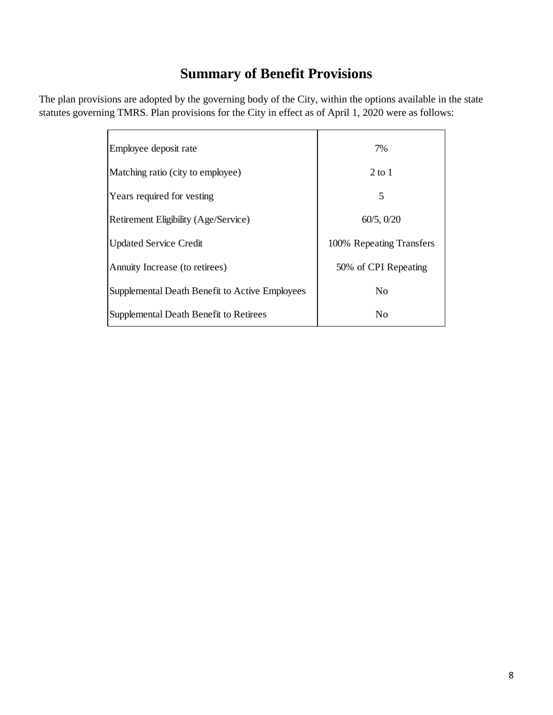## **Summary of Benefit Provisions**

The plan provisions are adopted by the governing body of the City, within the options available in the state statutes governing TMRS. Plan provisions for the City in effect as of April 1, 2020 were as follows:

| Employee deposit rate                          | 7%                       |
|------------------------------------------------|--------------------------|
| Matching ratio (city to employee)              | $2$ to 1                 |
| Years required for vesting                     | 5                        |
| Retirement Eligibility (Age/Service)           | 60/5, 0/20               |
| <b>Updated Service Credit</b>                  | 100% Repeating Transfers |
| Annuity Increase (to retirees)                 | 50% of CPI Repeating     |
| Supplemental Death Benefit to Active Employees | N <sub>0</sub>           |
| Supplemental Death Benefit to Retirees         | N <sub>0</sub>           |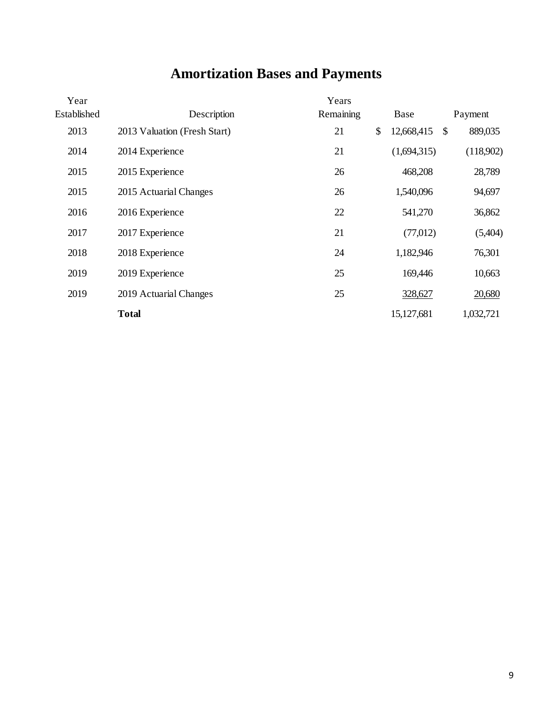# **Amortization Bases and Payments**

| Year        |                              | Years     |                  |                           |           |
|-------------|------------------------------|-----------|------------------|---------------------------|-----------|
| Established | Description                  | Remaining | Base             |                           | Payment   |
| 2013        | 2013 Valuation (Fresh Start) | 21        | \$<br>12,668,415 | $\boldsymbol{\mathsf{S}}$ | 889,035   |
| 2014        | 2014 Experience              | 21        | (1,694,315)      |                           | (118,902) |
| 2015        | 2015 Experience              | 26        | 468,208          |                           | 28,789    |
| 2015        | 2015 Actuarial Changes       | 26        | 1,540,096        |                           | 94,697    |
| 2016        | 2016 Experience              | 22        | 541,270          |                           | 36,862    |
| 2017        | 2017 Experience              | 21        | (77,012)         |                           | (5,404)   |
| 2018        | 2018 Experience              | 24        | 1,182,946        |                           | 76,301    |
| 2019        | 2019 Experience              | 25        | 169,446          |                           | 10,663    |
| 2019        | 2019 Actuarial Changes       | 25        | 328,627          |                           | 20,680    |
|             | <b>Total</b>                 |           | 15,127,681       |                           | 1,032,721 |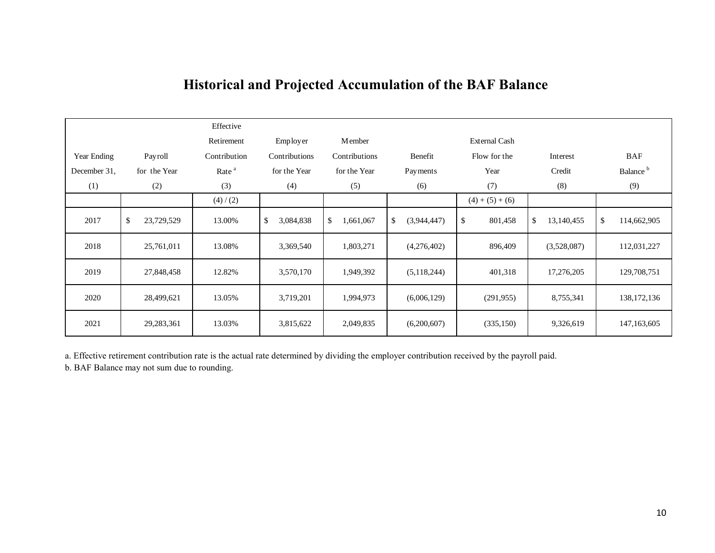|              |                         |              | Effective         |                 |                |                   |                      |    |             |                      |
|--------------|-------------------------|--------------|-------------------|-----------------|----------------|-------------------|----------------------|----|-------------|----------------------|
|              |                         |              | Retirement        | Employer        | <b>M</b> ember |                   | <b>External Cash</b> |    |             |                      |
| Year Ending  |                         | Payroll      | Contribution      | Contributions   | Contributions  | Benefit           | Flow for the         |    | Interest    | <b>BAF</b>           |
| December 31, |                         | for the Year | Rate <sup>a</sup> | for the Year    | for the Year   | Payments          | Year                 |    | Credit      | Balance <sup>b</sup> |
| (1)          |                         | (2)          | (3)               | (4)             | (5)            | (6)               | (7)                  |    | (8)         | (9)                  |
|              |                         |              | (4)/(2)           |                 |                |                   | $(4) + (5) + (6)$    |    |             |                      |
| 2017         | $\sqrt[6]{\frac{1}{2}}$ | 23,729,529   | 13.00%            | \$<br>3,084,838 | \$<br>.661,067 | \$<br>(3,944,447) | \$<br>801,458        | \$ | 13,140,455  | \$<br>114,662,905    |
| 2018         |                         | 25,761,011   | 13.08%            | 3,369,540       | 1,803,271      | (4,276,402)       | 896,409              |    | (3,528,087) | 112,031,227          |
| 2019         |                         | 27,848,458   | 12.82%            | 3,570,170       | 1,949,392      | (5,118,244)       | 401,318              |    | 17,276,205  | 129,708,751          |
| 2020         |                         | 28,499,621   | 13.05%            | 3,719,201       | 1,994,973      | (6,006,129)       | (291, 955)           |    | 8,755,341   | 138, 172, 136        |
| 2021         |                         | 29,283,361   | 13.03%            | 3,815,622       | 2,049,835      | (6,200,607)       | (335,150)            |    | 9,326,619   | 147, 163, 605        |

## **Historical and Projected Accumulation of the BAF Balance**

a. Effective retirement contribution rate is the actual rate determined by dividing the employer contribution received by the payroll paid.

b. BAF Balance may not sum due to rounding.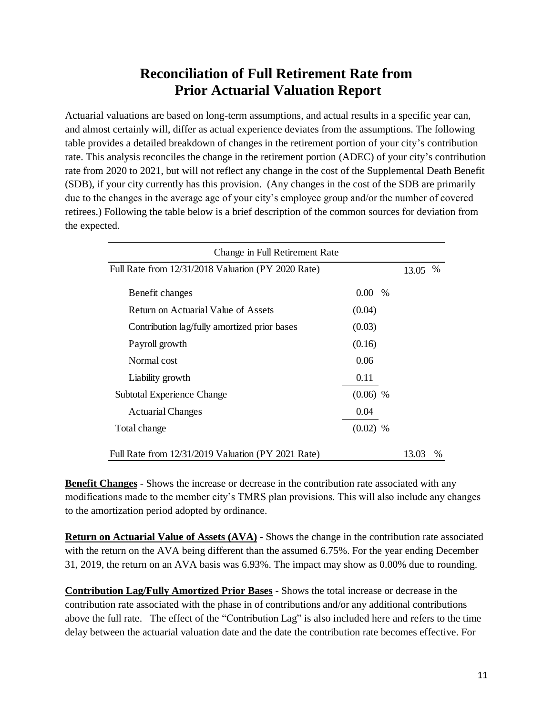### **Reconciliation of Full Retirement Rate from Prior Actuarial Valuation Report**

Actuarial valuations are based on long-term assumptions, and actual results in a specific year can, and almost certainly will, differ as actual experience deviates from the assumptions. The following table provides a detailed breakdown of changes in the retirement portion of your city's contribution rate. This analysis reconciles the change in the retirement portion (ADEC) of your city's contribution rate from 2020 to 2021, but will not reflect any change in the cost of the Supplemental Death Benefit (SDB), if your city currently has this provision. (Any changes in the cost of the SDB are primarily due to the changes in the average age of your city's employee group and/or the number of covered retirees.) Following the table below is a brief description of the common sources for deviation from the expected.

| Change in Full Retirement Rate                     |            |  |       |      |  |  |  |
|----------------------------------------------------|------------|--|-------|------|--|--|--|
| Full Rate from 12/31/2018 Valuation (PY 2020 Rate) |            |  |       |      |  |  |  |
| Benefit changes                                    | $0.00\%$   |  |       |      |  |  |  |
| Return on Actuarial Value of Assets                | (0.04)     |  |       |      |  |  |  |
| Contribution lag/fully amortized prior bases       | (0.03)     |  |       |      |  |  |  |
| Payroll growth                                     | (0.16)     |  |       |      |  |  |  |
| Normal cost                                        | 0.06       |  |       |      |  |  |  |
| Liability growth                                   | 0.11       |  |       |      |  |  |  |
| Subtotal Experience Change                         | $(0.06)$ % |  |       |      |  |  |  |
| <b>Actuarial Changes</b>                           | 0.04       |  |       |      |  |  |  |
| Total change                                       | $(0.02)$ % |  |       |      |  |  |  |
| Full Rate from 12/31/2019 Valuation (PY 2021 Rate) |            |  | 13.03 | $\%$ |  |  |  |

**Benefit Changes** - Shows the increase or decrease in the contribution rate associated with any modifications made to the member city's TMRS plan provisions. This will also include any changes to the amortization period adopted by ordinance.

**Return on Actuarial Value of Assets (AVA)** - Shows the change in the contribution rate associated with the return on the AVA being different than the assumed 6.75%. For the year ending December 31, 2019, the return on an AVA basis was 6.93%. The impact may show as 0.00% due to rounding.

**Contribution Lag/Fully Amortized Prior Bases** - Shows the total increase or decrease in the contribution rate associated with the phase in of contributions and/or any additional contributions above the full rate. The effect of the "Contribution Lag" is also included here and refers to the time delay between the actuarial valuation date and the date the contribution rate becomes effective. For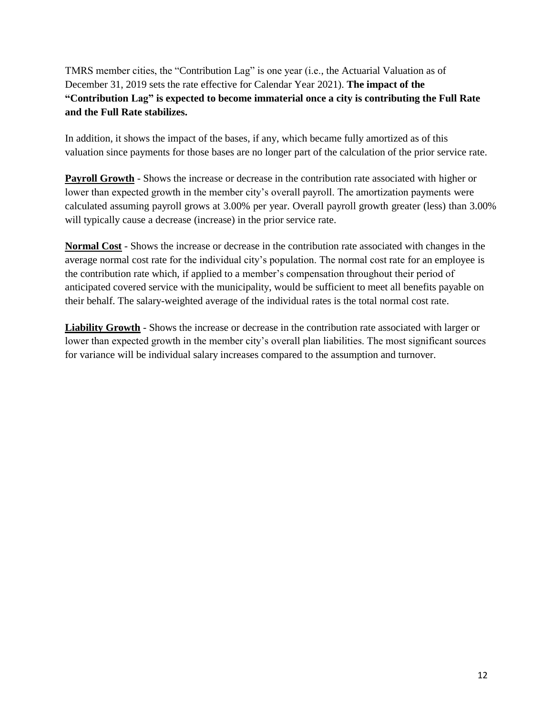TMRS member cities, the "Contribution Lag" is one year (i.e., the Actuarial Valuation as of December 31, 2019 sets the rate effective for Calendar Year 2021). **The impact of the "Contribution Lag" is expected to become immaterial once a city is contributing the Full Rate and the Full Rate stabilizes.**

In addition, it shows the impact of the bases, if any, which became fully amortized as of this valuation since payments for those bases are no longer part of the calculation of the prior service rate.

**Payroll Growth** - Shows the increase or decrease in the contribution rate associated with higher or lower than expected growth in the member city's overall payroll. The amortization payments were calculated assuming payroll grows at 3.00% per year. Overall payroll growth greater (less) than 3.00% will typically cause a decrease (increase) in the prior service rate.

**Normal Cost** - Shows the increase or decrease in the contribution rate associated with changes in the average normal cost rate for the individual city's population. The normal cost rate for an employee is the contribution rate which, if applied to a member's compensation throughout their period of anticipated covered service with the municipality, would be sufficient to meet all benefits payable on their behalf. The salary-weighted average of the individual rates is the total normal cost rate.

**Liability Growth** - Shows the increase or decrease in the contribution rate associated with larger or lower than expected growth in the member city's overall plan liabilities. The most significant sources for variance will be individual salary increases compared to the assumption and turnover.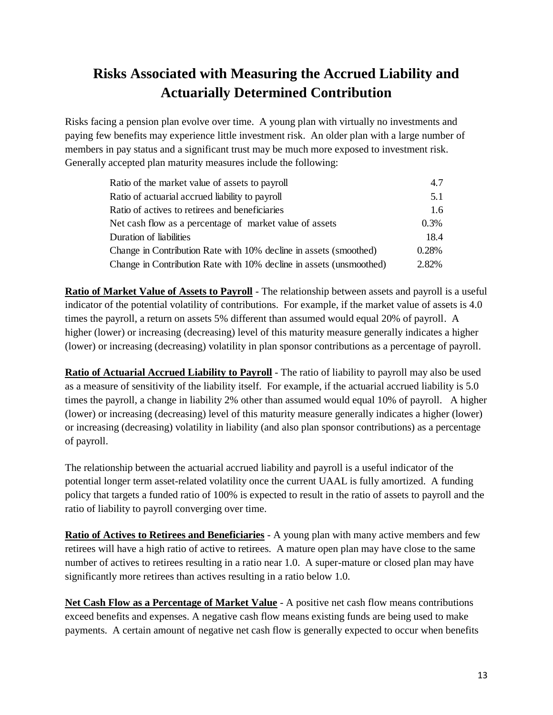## **Risks Associated with Measuring the Accrued Liability and Actuarially Determined Contribution**

Risks facing a pension plan evolve over time. A young plan with virtually no investments and paying few benefits may experience little investment risk. An older plan with a large number of members in pay status and a significant trust may be much more exposed to investment risk. Generally accepted plan maturity measures include the following:

| Ratio of the market value of assets to payroll                      | 4.7           |
|---------------------------------------------------------------------|---------------|
| Ratio of actuarial accrued liability to payroll                     | 5.1           |
| Ratio of actives to retirees and beneficiaries                      | $1.6^{\circ}$ |
| Net cash flow as a percentage of market value of assets             | $0.3\%$       |
| Duration of liabilities                                             | 18.4          |
| Change in Contribution Rate with 10% decline in assets (smoothed)   | 0.28%         |
| Change in Contribution Rate with 10% decline in assets (unsmoothed) | 2.82%         |

**Ratio of Market Value of Assets to Payroll** - The relationship between assets and payroll is a useful indicator of the potential volatility of contributions. For example, if the market value of assets is 4.0 times the payroll, a return on assets 5% different than assumed would equal 20% of payroll. A higher (lower) or increasing (decreasing) level of this maturity measure generally indicates a higher (lower) or increasing (decreasing) volatility in plan sponsor contributions as a percentage of payroll.

**Ratio of Actuarial Accrued Liability to Payroll** - The ratio of liability to payroll may also be used as a measure of sensitivity of the liability itself. For example, if the actuarial accrued liability is 5.0 times the payroll, a change in liability 2% other than assumed would equal 10% of payroll. A higher (lower) or increasing (decreasing) level of this maturity measure generally indicates a higher (lower) or increasing (decreasing) volatility in liability (and also plan sponsor contributions) as a percentage of payroll.

The relationship between the actuarial accrued liability and payroll is a useful indicator of the potential longer term asset-related volatility once the current UAAL is fully amortized. A funding policy that targets a funded ratio of 100% is expected to result in the ratio of assets to payroll and the ratio of liability to payroll converging over time.

**Ratio of Actives to Retirees and Beneficiaries** - A young plan with many active members and few retirees will have a high ratio of active to retirees. A mature open plan may have close to the same number of actives to retirees resulting in a ratio near 1.0. A super-mature or closed plan may have significantly more retirees than actives resulting in a ratio below 1.0.

**Net Cash Flow as a Percentage of Market Value** - A positive net cash flow means contributions exceed benefits and expenses. A negative cash flow means existing funds are being used to make payments. A certain amount of negative net cash flow is generally expected to occur when benefits